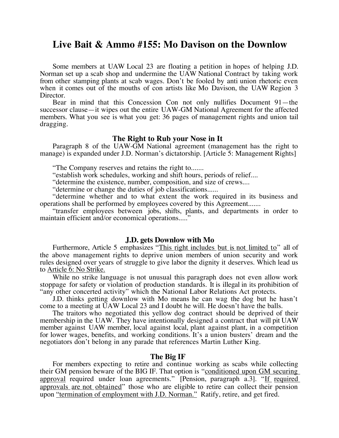# **Live Bait & Ammo #155: Mo Davison on the Downlow**

Some members at UAW Local 23 are floating a petition in hopes of helping J.D. Norman set up a scab shop and undermine the UAW National Contract by taking work from other stamping plants at scab wages. Don't be fooled by anti union rhetoric even when it comes out of the mouths of con artists like Mo Davison, the UAW Region 3 Director.

Bear in mind that this Concession Con not only nullifies Document 91—the successor clause—it wipes out the entire UAW-GM National Agreement for the affected members. What you see is what you get: 36 pages of management rights and union tail dragging.

#### **The Right to Rub your Nose in It**

Paragraph 8 of the UAW-GM National agreement (management has the right to manage) is expanded under J.D. Norman's dictatorship. [Article 5: Management Rights]

"The Company reserves and retains the right to.......

"establish work schedules, working and shift hours, periods of relief....

"determine the existence, number, composition, and size of crews....

"determine or change the duties of job classifications......

"determine whether and to what extent the work required in its business and operations shall be performed by employees covered by this Agreement.......

"transfer employees between jobs, shifts, plants, and departments in order to maintain efficient and/or economical operations....."

#### **J.D. gets Downlow with Mo**

Furthermore, Article 5 emphasizes "This right includes but is not limited to" all of the above management rights to deprive union members of union security and work rules designed over years of struggle to give labor the dignity it deserves. Which lead us to Article 6: No Strike.

While no strike language is not unusual this paragraph does not even allow work stoppage for safety or violation of production standards. It is illegal in its prohibition of "any other concerted activity" which the National Labor Relations Act protects.

J.D. thinks getting downlow with Mo means he can wag the dog but he hasn't come to a meeting at UAW Local 23 and I doubt he will. He doesn't have the balls.

The traitors who negotiated this yellow dog contract should be deprived of their membership in the UAW. They have intentionally designed a contract that will pit UAW member against UAW member, local against local, plant against plant, in a competition for lower wages, benefits, and working conditions. It's a union busters' dream and the negotiators don't belong in any parade that references Martin Luther King.

#### **The Big IF**

For members expecting to retire and continue working as scabs while collecting their GM pension beware of the BIG IF. That option is "conditioned upon GM securing approval required under loan agreements." [Pension, paragraph a.3]. "If required approvals are not obtained" those who are eligible to retire can collect their pension upon "termination of employment with J.D. Norman." Ratify, retire, and get fired.